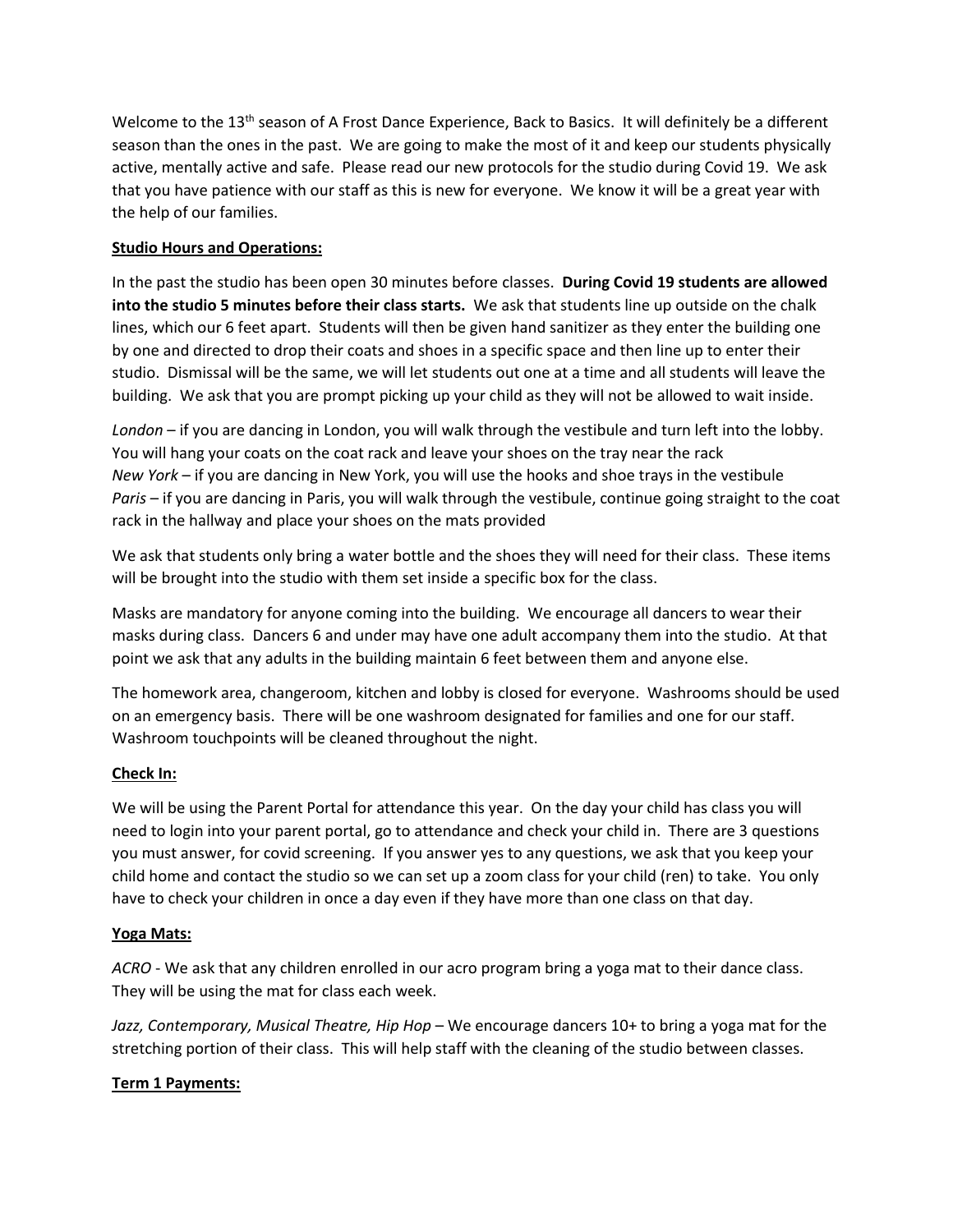Welcome to the 13<sup>th</sup> season of A Frost Dance Experience, Back to Basics. It will definitely be a different season than the ones in the past. We are going to make the most of it and keep our students physically active, mentally active and safe. Please read our new protocols for the studio during Covid 19. We ask that you have patience with our staff as this is new for everyone. We know it will be a great year with the help of our families.

# **Studio Hours and Operations:**

In the past the studio has been open 30 minutes before classes. **During Covid 19 students are allowed into the studio 5 minutes before their class starts.** We ask that students line up outside on the chalk lines, which our 6 feet apart. Students will then be given hand sanitizer as they enter the building one by one and directed to drop their coats and shoes in a specific space and then line up to enter their studio. Dismissal will be the same, we will let students out one at a time and all students will leave the building. We ask that you are prompt picking up your child as they will not be allowed to wait inside.

*London* – if you are dancing in London, you will walk through the vestibule and turn left into the lobby. You will hang your coats on the coat rack and leave your shoes on the tray near the rack *New York* – if you are dancing in New York, you will use the hooks and shoe trays in the vestibule *Paris* – if you are dancing in Paris, you will walk through the vestibule, continue going straight to the coat rack in the hallway and place your shoes on the mats provided

We ask that students only bring a water bottle and the shoes they will need for their class. These items will be brought into the studio with them set inside a specific box for the class.

Masks are mandatory for anyone coming into the building. We encourage all dancers to wear their masks during class. Dancers 6 and under may have one adult accompany them into the studio. At that point we ask that any adults in the building maintain 6 feet between them and anyone else.

The homework area, changeroom, kitchen and lobby is closed for everyone. Washrooms should be used on an emergency basis. There will be one washroom designated for families and one for our staff. Washroom touchpoints will be cleaned throughout the night.

## **Check In:**

We will be using the Parent Portal for attendance this year. On the day your child has class you will need to login into your parent portal, go to attendance and check your child in. There are 3 questions you must answer, for covid screening. If you answer yes to any questions, we ask that you keep your child home and contact the studio so we can set up a zoom class for your child (ren) to take. You only have to check your children in once a day even if they have more than one class on that day.

## **Yoga Mats:**

*ACRO* - We ask that any children enrolled in our acro program bring a yoga mat to their dance class. They will be using the mat for class each week.

*Jazz, Contemporary, Musical Theatre, Hip Hop* – We encourage dancers 10+ to bring a yoga mat for the stretching portion of their class. This will help staff with the cleaning of the studio between classes.

## **Term 1 Payments:**